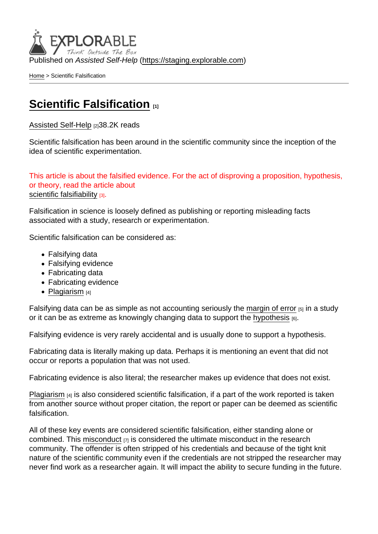Published on Assisted Self-Help [\(https://staging.explorable.com](https://staging.explorable.com))

[Home](https://staging.explorable.com/en) > Scientific Falsification

## [Scientific Falsification](https://staging.explorable.com/en/scientific-falsification)

[Assisted Self-Help](https://staging.explorable.com/en) [2]38.2K reads

Scientific falsification has been around in the scientific community since the inception of the idea of scientific experimentation.

This article is about the falsified evidence. For the act of disproving a proposition, hypothesis, or theory, read the article about [scientific falsifiability](https://staging.explorable.com/en/falsifiability) [3].

Falsification in science is loosely defined as publishing or reporting misleading facts associated with a study, research or experimentation.

Scientific falsification can be considered as:

- Falsifying data
- Falsifying evidence
- Fabricating data
- Fabricating evidence
- [Plagiarism](https://staging.explorable.com/academic-plagiarism)  $[4]$

Falsifying data can be as simple as not accounting seriously the [margin of error](https://staging.explorable.com/statistics-margin-of-error)  $[5]$  in a study or it can be as extreme as knowingly changing data to support the [hypothesis](https://staging.explorable.com/research-hypothesis)  $[6]$ .

Falsifying evidence is very rarely accidental and is usually done to support a hypothesis.

Fabricating data is literally making up data. Perhaps it is mentioning an event that did not occur or reports a population that was not used.

Fabricating evidence is also literal; the researcher makes up evidence that does not exist.

[Plagiarism](https://staging.explorable.com/academic-plagiarism) <sup>[4]</sup> is also considered scientific falsification, if a part of the work reported is taken from another source without proper citation, the report or paper can be deemed as scientific falsification.

All of these key events are considered scientific falsification, either standing alone or combined. This [misconduct](https://staging.explorable.com/scientific-misconduct)  $\overline{z}$  is considered the ultimate misconduct in the research community. The offender is often stripped of his credentials and because of the tight knit nature of the scientific community even if the credentials are not stripped the researcher may never find work as a researcher again. It will impact the ability to secure funding in the future.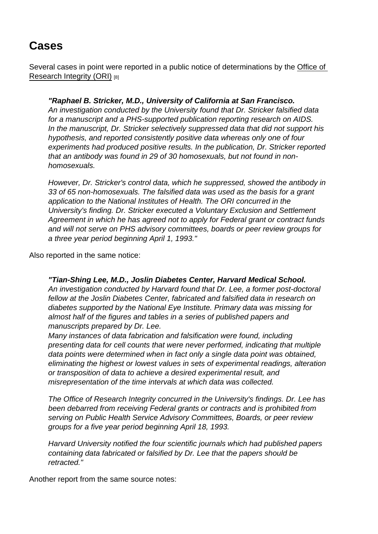## Cases

Several cases in point were reported in a public notice of determinations by the [Office of](http://grants.nih.gov/grants/guide/notice-files/not93-177)  [Research Integrity \(ORI\)](http://grants.nih.gov/grants/guide/notice-files/not93-177) [8]

"Raphael B. Stricker, M.D., University of California at San Francisco. An investigation conducted by the University found that Dr. Stricker falsified data for a manuscript and a PHS-supported publication reporting research on AIDS. In the manuscript, Dr. Stricker selectively suppressed data that did not support his hypothesis, and reported consistently positive data whereas only one of four experiments had produced positive results. In the publication, Dr. Stricker reported that an antibody was found in 29 of 30 homosexuals, but not found in nonhomosexuals.

However, Dr. Stricker's control data, which he suppressed, showed the antibody in 33 of 65 non-homosexuals. The falsified data was used as the basis for a grant application to the National Institutes of Health. The ORI concurred in the University's finding. Dr. Stricker executed a Voluntary Exclusion and Settlement Agreement in which he has agreed not to apply for Federal grant or contract funds and will not serve on PHS advisory committees, boards or peer review groups for a three year period beginning April 1, 1993."

Also reported in the same notice:

"Tian-Shing Lee, M.D., Joslin Diabetes Center, Harvard Medical School. An investigation conducted by Harvard found that Dr. Lee, a former post-doctoral fellow at the Joslin Diabetes Center, fabricated and falsified data in research on diabetes supported by the National Eye Institute. Primary data was missing for almost half of the figures and tables in a series of published papers and manuscripts prepared by Dr. Lee.

Many instances of data fabrication and falsification were found, including presenting data for cell counts that were never performed, indicating that multiple data points were determined when in fact only a single data point was obtained, eliminating the highest or lowest values in sets of experimental readings, alteration or transposition of data to achieve a desired experimental result, and misrepresentation of the time intervals at which data was collected.

The Office of Research Integrity concurred in the University's findings. Dr. Lee has been debarred from receiving Federal grants or contracts and is prohibited from serving on Public Health Service Advisory Committees, Boards, or peer review groups for a five year period beginning April 18, 1993.

Harvard University notified the four scientific journals which had published papers containing data fabricated or falsified by Dr. Lee that the papers should be retracted."

Another report from the same source notes: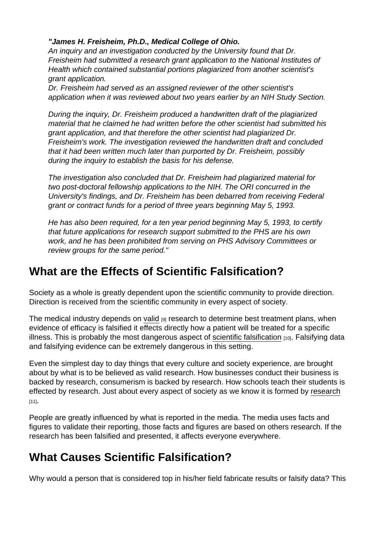"James H. Freisheim, Ph.D., Medical College of Ohio.

An inquiry and an investigation conducted by the University found that Dr. Freisheim had submitted a research grant application to the National Institutes of Health which contained substantial portions plagiarized from another scientist's grant application.

Dr. Freisheim had served as an assigned reviewer of the other scientist's application when it was reviewed about two years earlier by an NIH Study Section.

During the inquiry, Dr. Freisheim produced a handwritten draft of the plagiarized material that he claimed he had written before the other scientist had submitted his grant application, and that therefore the other scientist had plagiarized Dr. Freisheim's work. The investigation reviewed the handwritten draft and concluded that it had been written much later than purported by Dr. Freisheim, possibly during the inquiry to establish the basis for his defense.

The investigation also concluded that Dr. Freisheim had plagiarized material for two post-doctoral fellowship applications to the NIH. The ORI concurred in the University's findings, and Dr. Freisheim has been debarred from receiving Federal grant or contract funds for a period of three years beginning May 5, 1993.

He has also been required, for a ten year period beginning May 5, 1993, to certify that future applications for research support submitted to the PHS are his own work, and he has been prohibited from serving on PHS Advisory Committees or review groups for the same period."

## What are the Effects of Scientific Falsification?

Society as a whole is greatly dependent upon the scientific community to provide direction. Direction is received from the scientific community in every aspect of society.

The medical industry depends on [valid](https://staging.explorable.com/validity-and-reliability)  $_{[9]}$  research to determine best treatment plans, when evidence of efficacy is falsified it effects directly how a patient will be treated for a specific illness. This is probably the most dangerous aspect of [scientific falsification](http://en.wikipedia.org/wiki/Fabrication_(science)) [10]. Falsifying data and falsifying evidence can be extremely dangerous in this setting.

Even the simplest day to day things that every culture and society experience, are brought about by what is to be believed as valid research. How businesses conduct their business is backed by research, consumerism is backed by research. How schools teach their students is effected by research. Just about every aspect of society as we know it is formed by [research](https://staging.explorable.com/what-is-research)  $[11]$ .

People are greatly influenced by what is reported in the media. The media uses facts and figures to validate their reporting, those facts and figures are based on others research. If the research has been falsified and presented, it affects everyone everywhere.

## What Causes Scientific Falsification?

Why would a person that is considered top in his/her field fabricate results or falsify data? This